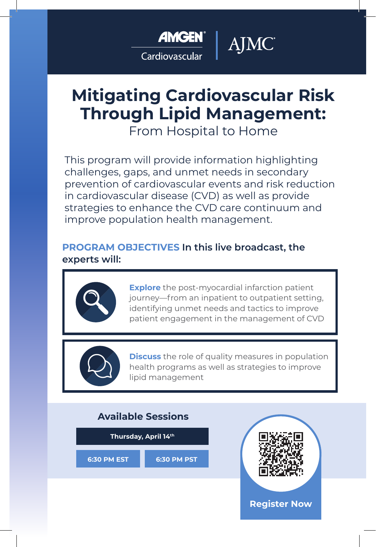

Cardiovascular

# **Mitigating Cardiovascular Risk Through Lipid Management:**

AJMC

From Hospital to Home

This program will provide information highlighting challenges, gaps, and unmet needs in secondary prevention of cardiovascular events and risk reduction in cardiovascular disease (CVD) as well as provide strategies to enhance the CVD care continuum and improve population health management.

# **PROGRAM OBJECTIVES In this live broadcast, the experts will:**



**Explore** the post-myocardial infarction patient journey—from an inpatient to outpatient setting, identifying unmet needs and tactics to improve patient engagement in the management of CVD



**Discuss** the role of quality measures in population health programs as well as strategies to improve lipid management

# **Available Sessions**

**Thursday, April 14th 6:30 PM EST 6:30 PM PST**